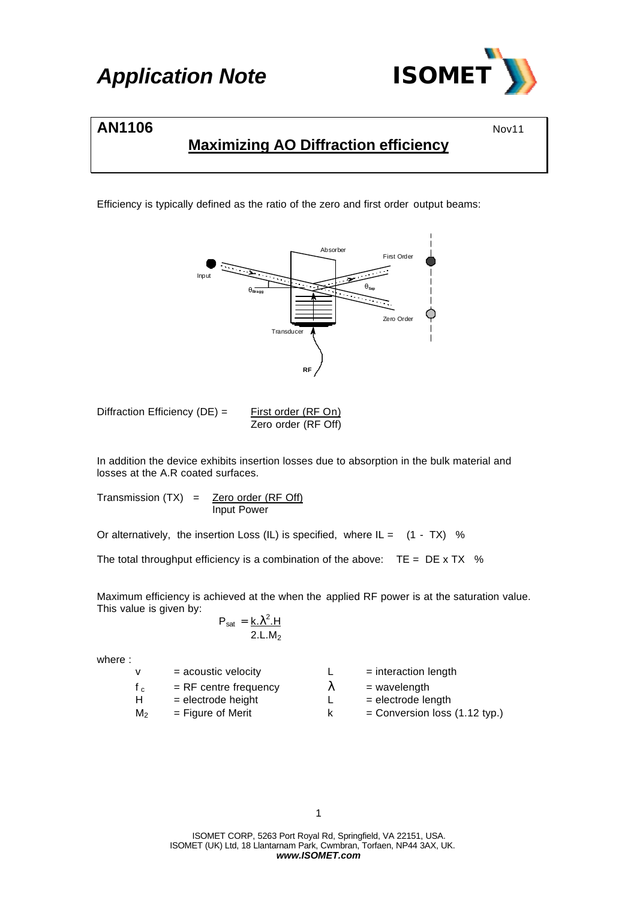

### **AN1106** Nov11

### **Maximizing AO Diffraction efficiency**

Efficiency is typically defined as the ratio of the zero and first order output beams:



Diffraction Efficiency (DE) = 
$$
\frac{\text{First order (RF On)}}{\text{Zero order (RF Off)}}
$$

In addition the device exhibits insertion losses due to absorption in the bulk material and losses at the A.R coated surfaces.

Transmission  $(TX)$  = Zero order  $(RF Off)$ Input Power

Or alternatively, the insertion Loss (IL) is specified, where  $IL = (1 - TX)$  %

The total throughput efficiency is a combination of the above:  $TE = DE \times TX$  %

Maximum efficiency is achieved at the when the applied RF power is at the saturation value. This value is given by:

$$
P_{\text{sat}} = \frac{k \cdot \lambda^2 \cdot H}{2 \cdot L \cdot M_2}
$$

where :

| v              | $=$ acoustic velocity   | $=$ interaction length        |
|----------------|-------------------------|-------------------------------|
| $f_{c}$        | $=$ RF centre frequency | $=$ wavelength                |
| H              | $=$ electrode height    | $=$ electrode length          |
| M <sub>2</sub> | $=$ Figure of Merit     | = Conversion loss (1.12 typ.) |

ISOMET CORP, 5263 Port Royal Rd, Springfield, VA 22151, USA. ISOMET (UK) Ltd, 18 Llantarnam Park, Cwmbran, Torfaen, NP44 3AX, UK. *www.ISOMET.com*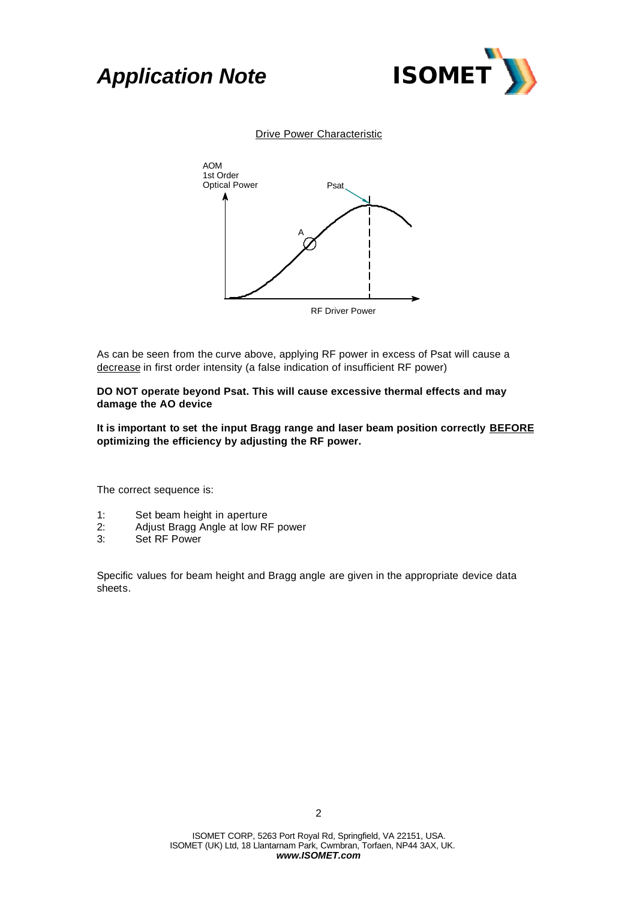# *Application Note ISOMET*



#### **Drive Power Characteristic**



As can be seen from the curve above, applying RF power in excess of Psat will cause a decrease in first order intensity (a false indication of insufficient RF power)

#### **DO NOT operate beyond Psat. This will cause excessive thermal effects and may damage the AO device**

**It is important to set the input Bragg range and laser beam position correctly BEFORE optimizing the efficiency by adjusting the RF power.**

The correct sequence is:

- 1: Set beam height in aperture
- 2: Adjust Bragg Angle at low RF power
- Set RF Power

Specific values for beam height and Bragg angle are given in the appropriate device data sheets.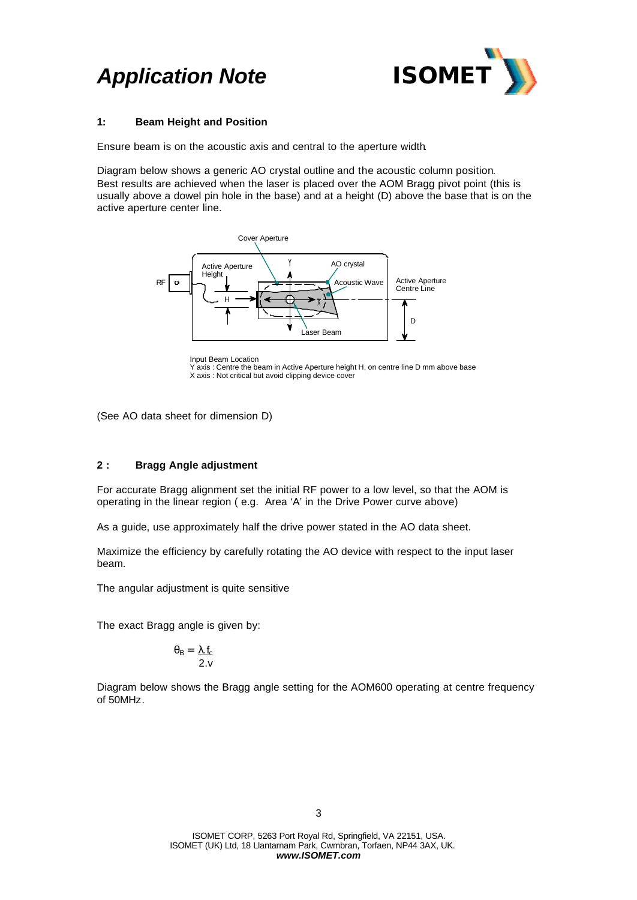# *Application Note ISOMET*



#### **1: Beam Height and Position**

Ensure beam is on the acoustic axis and central to the aperture width.

Diagram below shows a generic AO crystal outline and the acoustic column position. Best results are achieved when the laser is placed over the AOM Bragg pivot point (this is usually above a dowel pin hole in the base) and at a height (D) above the base that is on the active aperture center line.



Input Beam Location

Y axis : Centre the beam in Active Aperture height H, on centre line D mm above base X axis : Not critical but avoid clipping device cover

(See AO data sheet for dimension D)

### **2 : Bragg Angle adjustment**

For accurate Bragg alignment set the initial RF power to a low level, so that the AOM is operating in the linear region ( e.g. Area 'A' in the Drive Power curve above)

As a guide, use approximately half the drive power stated in the AO data sheet.

Maximize the efficiency by carefully rotating the AO device with respect to the input laser beam.

The angular adjustment is quite sensitive

The exact Bragg angle is given by:

$$
\theta_{\rm B} = \frac{\lambda_{\rm L} f_{\rm c}}{2 \cdot v}
$$

Diagram below shows the Bragg angle setting for the AOM600 operating at centre frequency of 50MHz.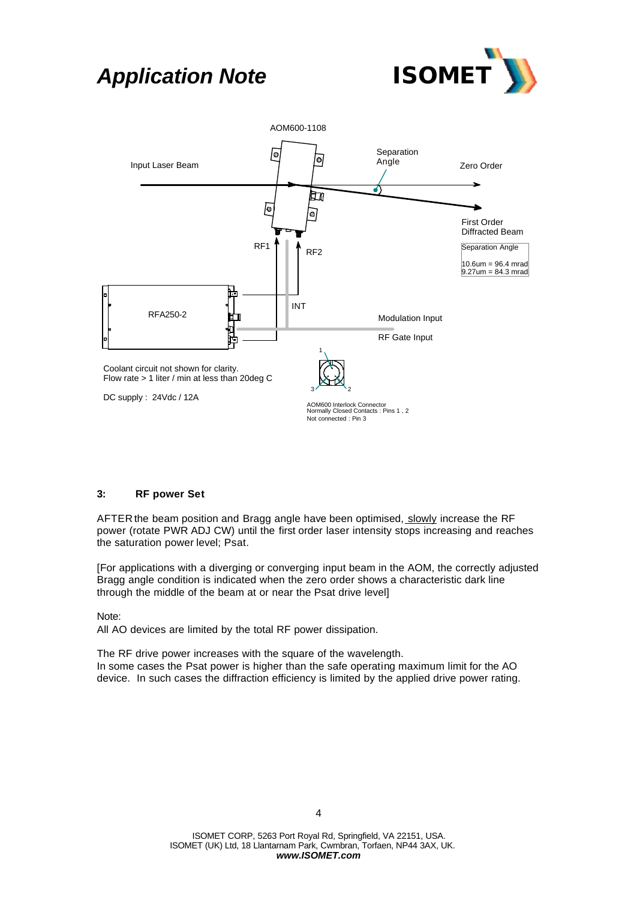## *Application Note ISOMET*





### **3: RF power Set**

AFTER the beam position and Bragg angle have been optimised, slowly increase the RF power (rotate PWR ADJ CW) until the first order laser intensity stops increasing and reaches the saturation power level; Psat.

[For applications with a diverging or converging input beam in the AOM, the correctly adjusted Bragg angle condition is indicated when the zero order shows a characteristic dark line through the middle of the beam at or near the Psat drive level]

Note:

All AO devices are limited by the total RF power dissipation.

The RF drive power increases with the square of the wavelength. In some cases the Psat power is higher than the safe operating maximum limit for the AO device. In such cases the diffraction efficiency is limited by the applied drive power rating.